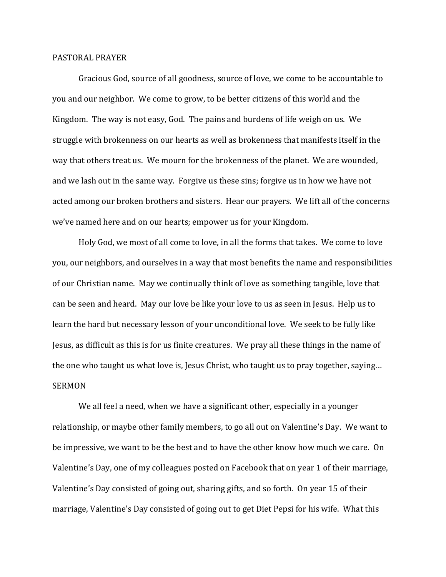## PASTORAL PRAYER

 Gracious God, source of all goodness, source of love, we come to be accountable to you and our neighbor. We come to grow, to be better citizens of this world and the Kingdom. The way is not easy, God. The pains and burdens of life weigh on us. We struggle with brokenness on our hearts as well as brokenness that manifests itself in the way that others treat us. We mourn for the brokenness of the planet. We are wounded, and we lash out in the same way. Forgive us these sins; forgive us in how we have not acted among our broken brothers and sisters. Hear our prayers. We lift all of the concerns we've named here and on our hearts; empower us for your Kingdom.

 Holy God, we most of all come to love, in all the forms that takes. We come to love you, our neighbors, and ourselves in a way that most benefits the name and responsibilities of our Christian name. May we continually think of love as something tangible, love that can be seen and heard. May our love be like your love to us as seen in Jesus. Help us to learn the hard but necessary lesson of your unconditional love. We seek to be fully like Jesus, as difficult as this is for us finite creatures. We pray all these things in the name of the one who taught us what love is, Jesus Christ, who taught us to pray together, saying… SERMON

 We all feel a need, when we have a significant other, especially in a younger relationship, or maybe other family members, to go all out on Valentine's Day. We want to be impressive, we want to be the best and to have the other know how much we care. On Valentine's Day, one of my colleagues posted on Facebook that on year 1 of their marriage, Valentine's Day consisted of going out, sharing gifts, and so forth. On year 15 of their marriage, Valentine's Day consisted of going out to get Diet Pepsi for his wife. What this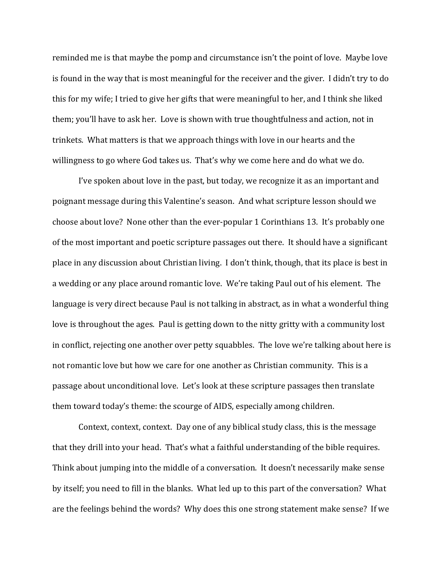reminded me is that maybe the pomp and circumstance isn't the point of love. Maybe love is found in the way that is most meaningful for the receiver and the giver. I didn't try to do this for my wife; I tried to give her gifts that were meaningful to her, and I think she liked them; you'll have to ask her. Love is shown with true thoughtfulness and action, not in trinkets. What matters is that we approach things with love in our hearts and the willingness to go where God takes us. That's why we come here and do what we do.

 I've spoken about love in the past, but today, we recognize it as an important and poignant message during this Valentine's season. And what scripture lesson should we choose about love? None other than the ever-popular 1 Corinthians 13. It's probably one of the most important and poetic scripture passages out there. It should have a significant place in any discussion about Christian living. I don't think, though, that its place is best in a wedding or any place around romantic love. We're taking Paul out of his element. The language is very direct because Paul is not talking in abstract, as in what a wonderful thing love is throughout the ages. Paul is getting down to the nitty gritty with a community lost in conflict, rejecting one another over petty squabbles. The love we're talking about here is not romantic love but how we care for one another as Christian community. This is a passage about unconditional love. Let's look at these scripture passages then translate them toward today's theme: the scourge of AIDS, especially among children.

 Context, context, context. Day one of any biblical study class, this is the message that they drill into your head. That's what a faithful understanding of the bible requires. Think about jumping into the middle of a conversation. It doesn't necessarily make sense by itself; you need to fill in the blanks. What led up to this part of the conversation? What are the feelings behind the words? Why does this one strong statement make sense? If we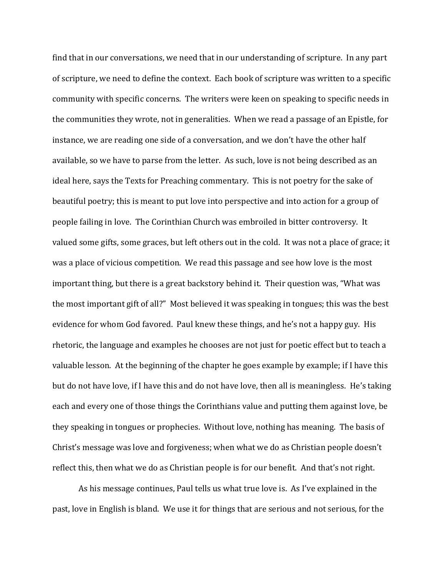find that in our conversations, we need that in our understanding of scripture. In any part of scripture, we need to define the context. Each book of scripture was written to a specific community with specific concerns. The writers were keen on speaking to specific needs in the communities they wrote, not in generalities. When we read a passage of an Epistle, for instance, we are reading one side of a conversation, and we don't have the other half available, so we have to parse from the letter. As such, love is not being described as an ideal here, says the Texts for Preaching commentary. This is not poetry for the sake of beautiful poetry; this is meant to put love into perspective and into action for a group of people failing in love. The Corinthian Church was embroiled in bitter controversy. It valued some gifts, some graces, but left others out in the cold. It was not a place of grace; it was a place of vicious competition. We read this passage and see how love is the most important thing, but there is a great backstory behind it. Their question was, "What was the most important gift of all?" Most believed it was speaking in tongues; this was the best evidence for whom God favored. Paul knew these things, and he's not a happy guy. His rhetoric, the language and examples he chooses are not just for poetic effect but to teach a valuable lesson. At the beginning of the chapter he goes example by example; if I have this but do not have love, if I have this and do not have love, then all is meaningless. He's taking each and every one of those things the Corinthians value and putting them against love, be they speaking in tongues or prophecies. Without love, nothing has meaning. The basis of Christ's message was love and forgiveness; when what we do as Christian people doesn't reflect this, then what we do as Christian people is for our benefit. And that's not right.

 As his message continues, Paul tells us what true love is. As I've explained in the past, love in English is bland. We use it for things that are serious and not serious, for the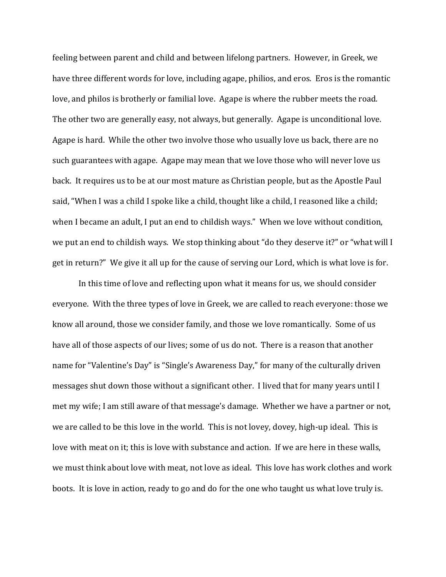feeling between parent and child and between lifelong partners. However, in Greek, we have three different words for love, including agape, philios, and eros. Eros is the romantic love, and philos is brotherly or familial love. Agape is where the rubber meets the road. The other two are generally easy, not always, but generally. Agape is unconditional love. Agape is hard. While the other two involve those who usually love us back, there are no such guarantees with agape. Agape may mean that we love those who will never love us back. It requires us to be at our most mature as Christian people, but as the Apostle Paul said, "When I was a child I spoke like a child, thought like a child, I reasoned like a child; when I became an adult, I put an end to childish ways." When we love without condition, we put an end to childish ways. We stop thinking about "do they deserve it?" or "what will I get in return?" We give it all up for the cause of serving our Lord, which is what love is for.

 In this time of love and reflecting upon what it means for us, we should consider everyone. With the three types of love in Greek, we are called to reach everyone: those we know all around, those we consider family, and those we love romantically. Some of us have all of those aspects of our lives; some of us do not. There is a reason that another name for "Valentine's Day" is "Single's Awareness Day," for many of the culturally driven messages shut down those without a significant other. I lived that for many years until I met my wife; I am still aware of that message's damage. Whether we have a partner or not, we are called to be this love in the world. This is not lovey, dovey, high-up ideal. This is love with meat on it; this is love with substance and action. If we are here in these walls, we must think about love with meat, not love as ideal. This love has work clothes and work boots. It is love in action, ready to go and do for the one who taught us what love truly is.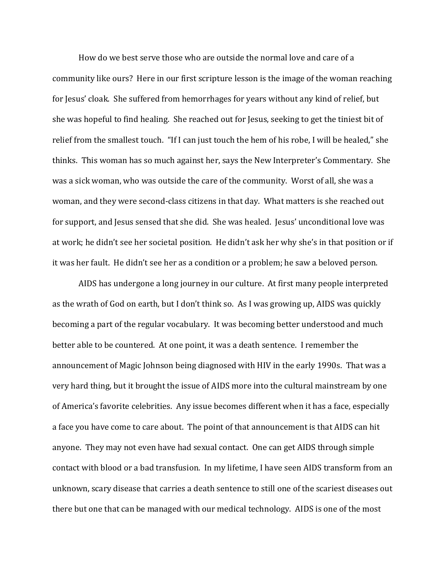How do we best serve those who are outside the normal love and care of a community like ours? Here in our first scripture lesson is the image of the woman reaching for Jesus' cloak. She suffered from hemorrhages for years without any kind of relief, but she was hopeful to find healing. She reached out for Jesus, seeking to get the tiniest bit of relief from the smallest touch. "If I can just touch the hem of his robe, I will be healed," she thinks. This woman has so much against her, says the New Interpreter's Commentary. She was a sick woman, who was outside the care of the community. Worst of all, she was a woman, and they were second-class citizens in that day. What matters is she reached out for support, and Jesus sensed that she did. She was healed. Jesus' unconditional love was at work; he didn't see her societal position. He didn't ask her why she's in that position or if it was her fault. He didn't see her as a condition or a problem; he saw a beloved person.

AIDS has undergone a long journey in our culture. At first many people interpreted as the wrath of God on earth, but I don't think so. As I was growing up, AIDS was quickly becoming a part of the regular vocabulary. It was becoming better understood and much better able to be countered. At one point, it was a death sentence. I remember the announcement of Magic Johnson being diagnosed with HIV in the early 1990s. That was a very hard thing, but it brought the issue of AIDS more into the cultural mainstream by one of America's favorite celebrities. Any issue becomes different when it has a face, especially a face you have come to care about. The point of that announcement is that AIDS can hit anyone. They may not even have had sexual contact. One can get AIDS through simple contact with blood or a bad transfusion. In my lifetime, I have seen AIDS transform from an unknown, scary disease that carries a death sentence to still one of the scariest diseases out there but one that can be managed with our medical technology. AIDS is one of the most